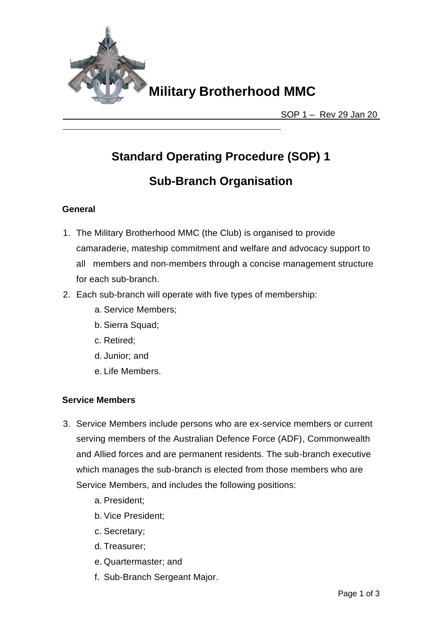

## **Standard Operating Procedure (SOP) 1**

### **Sub-Branch Organisation**

### **General**

- 1. The Military Brotherhood MMC (the Club) is organised to provide camaraderie, mateship commitment and welfare and advocacy support to all members and non-members through a concise management structure for each sub-branch.
- 2. Each sub-branch will operate with five types of membership:
	- a. Service Members;
	- b. Sierra Squad;
	- c. Retired;
	- d. Junior; and
	- e. Life Members.

### **Service Members**

- 3. Service Members include persons who are ex-service members or current serving members of the Australian Defence Force (ADF), Commonwealth and Allied forces and are permanent residents. The sub-branch executive which manages the sub-branch is elected from those members who are Service Members, and includes the following positions:
	- a. President;
	- b. Vice President;
	- c. Secretary;
	- d. Treasurer;
	- e. Quartermaster; and
	- f. Sub-Branch Sergeant Major.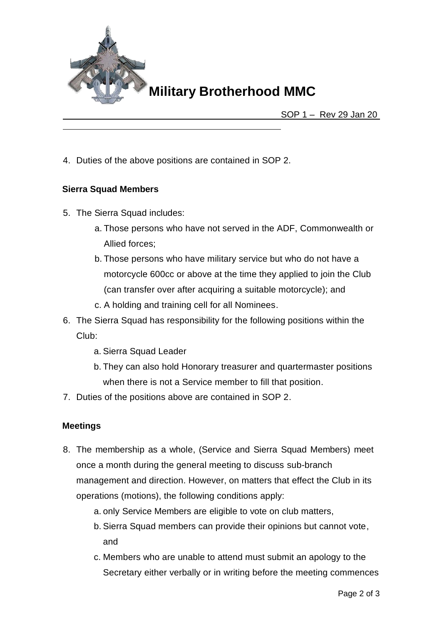

### **Military Brotherhood MMC**

SOP 1 – Rev 29 Jan 20

4. Duties of the above positions are contained in SOP 2.

### **Sierra Squad Members**

- 5. The Sierra Squad includes:
	- a. Those persons who have not served in the ADF, Commonwealth or Allied forces;
	- b. Those persons who have military service but who do not have a motorcycle 600cc or above at the time they applied to join the Club (can transfer over after acquiring a suitable motorcycle); and
	- c. A holding and training cell for all Nominees.
- 6. The Sierra Squad has responsibility for the following positions within the Club:
	- a. Sierra Squad Leader
	- b. They can also hold Honorary treasurer and quartermaster positions when there is not a Service member to fill that position.
- 7. Duties of the positions above are contained in SOP 2.

#### **Meetings**

- 8. The membership as a whole, (Service and Sierra Squad Members) meet once a month during the general meeting to discuss sub-branch management and direction. However, on matters that effect the Club in its operations (motions), the following conditions apply:
	- a. only Service Members are eligible to vote on club matters,
	- b. Sierra Squad members can provide their opinions but cannot vote, and
	- c. Members who are unable to attend must submit an apology to the Secretary either verbally or in writing before the meeting commences